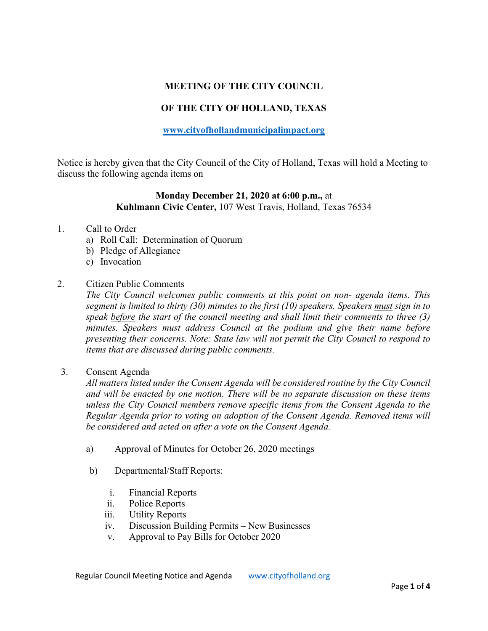# **MEETING OF THE CITY COUNCIL**

# **OF THE CITY OF HOLLAND, TEXAS**

## **[www.cityofhollandmunicipalimpact.org](http://www.cityofhollandmunicipalimpact.org/)**

Notice is hereby given that the City Council of the City of Holland, Texas will hold a Meeting to discuss the following agenda items on

## **Monday December 21, 2020 at 6:00 p.m.,** at **Kuhlmann Civic Center,** 107 West Travis, Holland, Texas 76534

### 1. Call to Order

- a) Roll Call: Determination of Quorum
- b) Pledge of Allegiance
- c) Invocation

#### 2. Citizen Public Comments

*The City Council welcomes public comments at this point on non- agenda items. This segment is limited to thirty (30) minutes to the first (10) speakers. Speakers must sign in to speak before the start of the council meeting and shall limit their comments to three (3) minutes. Speakers must address Council at the podium and give their name before presenting their concerns. Note: State law will not permit the City Council to respond to items that are discussed during public comments.* 

3. Consent Agenda

*All matters listed under the Consent Agenda will be considered routine by the City Council and will be enacted by one motion. There will be no separate discussion on these items unless the City Council members remove specific items from the Consent Agenda to the Regular Agenda prior to voting on adoption of the Consent Agenda. Removed items will be considered and acted on after a vote on the Consent Agenda.*

- a) Approval of Minutes for October 26, 2020 meetings
- b) Departmental/Staff Reports:
	- i. Financial Reports
	- ii. Police Reports
	- iii. Utility Reports
	- iv. Discussion Building Permits New Businesses
	- v. Approval to Pay Bills for October 2020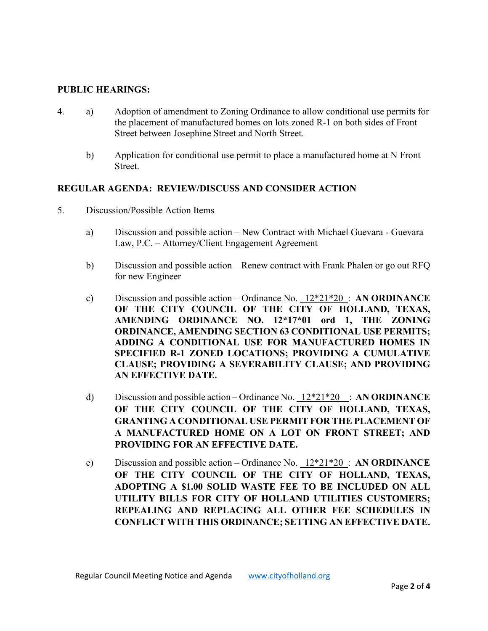## **PUBLIC HEARINGS:**

- 4. a) Adoption of amendment to Zoning Ordinance to allow conditional use permits for the placement of manufactured homes on lots zoned R-1 on both sides of Front Street between Josephine Street and North Street.
	- b) Application for conditional use permit to place a manufactured home at N Front Street.

## **REGULAR AGENDA: REVIEW/DISCUSS AND CONSIDER ACTION**

- 5. Discussion/Possible Action Items
	- a) Discussion and possible action New Contract with Michael Guevara Guevara Law, P.C. – Attorney/Client Engagement Agreement
	- b) Discussion and possible action Renew contract with Frank Phalen or go out RFQ for new Engineer
	- c) Discussion and possible action Ordinance No. \_12\*21\*20\_: **AN ORDINANCE OF THE CITY COUNCIL OF THE CITY OF HOLLAND, TEXAS, AMENDING ORDINANCE NO. 12\*17\*01 ord 1, THE ZONING ORDINANCE, AMENDING SECTION 63 CONDITIONAL USE PERMITS; ADDING A CONDITIONAL USE FOR MANUFACTURED HOMES IN SPECIFIED R-1 ZONED LOCATIONS; PROVIDING A CUMULATIVE CLAUSE; PROVIDING A SEVERABILITY CLAUSE; AND PROVIDING AN EFFECTIVE DATE.**
	- d) Discussion and possible action Ordinance No. \_12\*21\*20\_\_: **AN ORDINANCE OF THE CITY COUNCIL OF THE CITY OF HOLLAND, TEXAS, GRANTING A CONDITIONAL USE PERMIT FOR THE PLACEMENT OF A MANUFACTURED HOME ON A LOT ON FRONT STREET; AND PROVIDING FOR AN EFFECTIVE DATE.**
	- e) Discussion and possible action Ordinance No. \_12\*21\*20\_: **AN ORDINANCE OF THE CITY COUNCIL OF THE CITY OF HOLLAND, TEXAS, ADOPTING A \$1.00 SOLID WASTE FEE TO BE INCLUDED ON ALL UTILITY BILLS FOR CITY OF HOLLAND UTILITIES CUSTOMERS; REPEALING AND REPLACING ALL OTHER FEE SCHEDULES IN CONFLICT WITH THIS ORDINANCE; SETTING AN EFFECTIVE DATE.**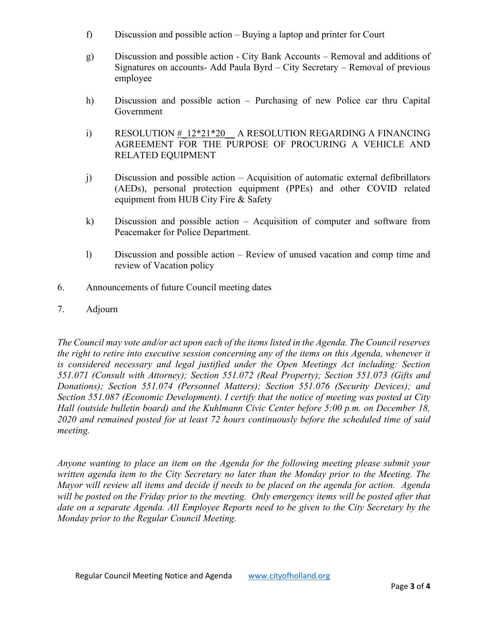- f) Discussion and possible action Buying a laptop and printer for Court
- g) Discussion and possible action City Bank Accounts Removal and additions of Signatures on accounts- Add Paula Byrd – City Secretary – Removal of previous employee
- h) Discussion and possible action Purchasing of new Police car thru Capital Government
- i) RESOLUTION  $# 12*21*20$  A RESOLUTION REGARDING A FINANCING AGREEMENT FOR THE PURPOSE OF PROCURING A VEHICLE AND RELATED EQUIPMENT
- j) Discussion and possible action Acquisition of automatic external defibrillators (AEDs), personal protection equipment (PPEs) and other COVID related equipment from HUB City Fire & Safety
- k) Discussion and possible action Acquisition of computer and software from Peacemaker for Police Department.
- l) Discussion and possible action Review of unused vacation and comp time and review of Vacation policy
- 6.Announcements of future Council meeting dates
- 7. Adjourn

*The Council may vote and/or act upon each of the items listed in the Agenda. The Council reserves the right to retire into executive session concerning any of the items on this Agenda, whenever it is considered necessary and legal justified under the Open Meetings Act including: Section 551.071 (Consult with Attorney); Section 551.072 (Real Property); Section 551.073 (Gifts and Donations); Section 551.074 (Personnel Matters); Section 551.076 (Security Devices); and Section 551.087 (Economic Development). I certify that the notice of meeting was posted at City Hall (outside bulletin board) and the Kuhlmann Civic Center before 5:00 p.m. on December 18, 2020 and remained posted for at least 72 hours continuously before the scheduled time of said meeting.*

*Anyone wanting to place an item on the Agenda for the following meeting please submit your written agenda item to the City Secretary no later than the Monday prior to the Meeting. The Mayor will review all items and decide if needs to be placed on the agenda for action. Agenda will be posted on the Friday prior to the meeting. Only emergency items will be posted after that date on a separate Agenda. All Employee Reports need to be given to the City Secretary by the Monday prior to the Regular Council Meeting.*